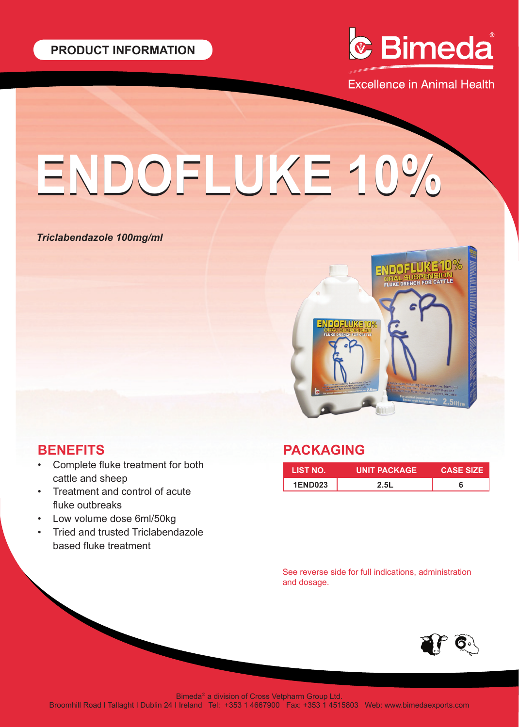

**Excellence in Animal Health** 

# **ENDOFLUKE 10% ENDOFLUKE 10%**

## *Triclabendazole 100mg/ml*



## **BENEFITS**

- Complete fluke treatment for both cattle and sheep
- Treatment and control of acute fluke outbreaks
- Low volume dose 6ml/50kg
- Tried and trusted Triclabendazole based fluke treatment

## **PACKAGING**

| <b>LIST NO.</b> | <b>UNIT PACKAGE</b> | <b>CASE SIZE</b> |
|-----------------|---------------------|------------------|
| <b>1END023</b>  | 2.5L                |                  |

See reverse side for full indications, administration and dosage.



Bimeda® a division of Cross Vetpharm Group Ltd.

Broomhill Road I Tallaght I Dublin 24 I Ireland Tel: +353 1 4667900 Fax: +353 1 4515803 Web: www.bimedaexports.com